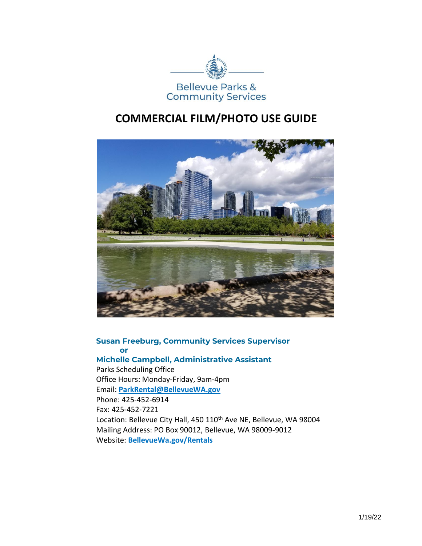

## **COMMERCIAL FILM/PHOTO USE GUIDE**



## **Susan Freeburg, Community Services Supervisor or Michelle Campbell, Administrative Assistant**

Parks Scheduling Office Office Hours: Monday-Friday, 9am-4pm Email: **[ParkRental@BellevueWA.gov](mailto:ParkRental@BellevueWA.gov)** Phone: 425-452-6914 Fax: 425-452-7221 Location: Bellevue City Hall, 450 110<sup>th</sup> Ave NE, Bellevue, WA 98004 Mailing Address: PO Box 90012, Bellevue, WA 98009-9012 Website: **<BellevueWa.gov/Rentals>**